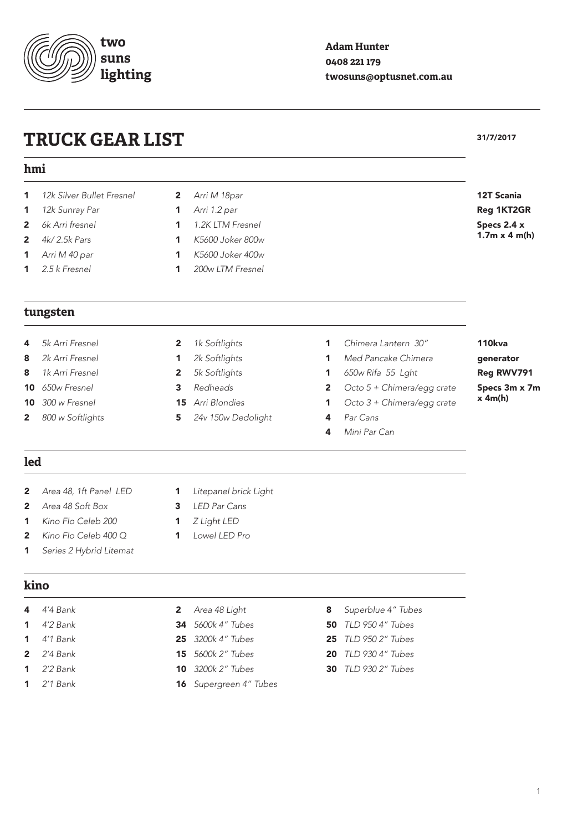# **TRUCK GEAR LIST** 31/7/2017

**two suns lighting**

# **hmi**

### *12k Silver Bullet Fresnel* 1

- *12k Sunray Par* 1
- *6k Arri fresnel* 2
- *4k/ 2.5k Pars* 2
- *Arri M 40 par* 1
- *2.5 k Fresnel* 1
- **tungsten**
- *5k Arri Fresnel* 4
- *2k Arri Fresnel* 8
- *1k Arri Fresnel* 8
- *650w Fresnel* 10
- *300 w Fresnel* 10
- *800 w Softlights* 2
- 2 *Arri M 18par*
- 1 *Arri 1.2 par*
- 1 *1.2K LTM Fresnel*
- 1 *K5600 Joker 800w*
- 1 *K5600 Joker 400w*
- 1 *200w LTM Fresnel*
- *1k Softlights* 2
- *2k Softlights* 1
- *5k Softlights* 2
- *Redheads* 3
- *Arri Blondies* 15
- *24v 150w Dedolight* 5  $24$

## va rator Reg RWV791 3m x 7m  $h)$

## **led**

### *Area 48, 1ft Panel LED* 2

- *Area 48 Soft Box* 2
- *Kino Flo Celeb 200* 1
- *Kino Flo Celeb 400 Q* 2
- *Series 2 Hybrid Litemat* 1

### **kino**

- *4'4 Bank* 4
- *4'2 Bank* 1
- *4'1 Bank* 1
- *2'4 Bank* 2
- *2'2 Bank* 1
- *2'1 Bank* 1
- *Litepanel brick Light*  $1$  Li
- *LED Par Cans* 3
- *Z Light LED* 1
- *Lowel LED Pro* 1
- *Area 48 Light* 2
- *5600k 4" Tubes* 34
- *3200k 4" Tubes* 25
- *5600k 2" Tubes* 15
- *3200k 2" Tubes* 10
- *Supergreen 4" Tubes* 16
- *Superblue 4" Tubes* 8
- *TLD 950 4" Tubes* 50
- *TLD 950 2" Tubes* 25
- *TLD 930 4" Tubes* 20
- *TLD 930 2" Tubes* 30

## **Adam Hunter 0408 221 179 twosuns@optusnet.com.au**

| rri M 18par<br>rri 1.2 par<br>2K LTM Fresnel<br>5600 Joker 800w |              |                            | <b>12T Scania</b><br>Reg 1KT2GR<br>Specs 2.4 x<br>1.7 $m \times 4$ m(h) |                 |  |  |  |
|-----------------------------------------------------------------|--------------|----------------------------|-------------------------------------------------------------------------|-----------------|--|--|--|
|                                                                 |              |                            |                                                                         | 5600 Joker 400w |  |  |  |
|                                                                 |              |                            |                                                                         | 00w LTM Fresnel |  |  |  |
|                                                                 |              |                            |                                                                         |                 |  |  |  |
|                                                                 |              |                            |                                                                         |                 |  |  |  |
|                                                                 |              |                            |                                                                         |                 |  |  |  |
| k Softlights                                                    | 1            | Chimera Lantern 30"        | <b>110kva</b>                                                           |                 |  |  |  |
| k Softlights                                                    | 1            | Med Pancake Chimera        | generator                                                               |                 |  |  |  |
| k Softlights                                                    | 1            | 650w Rifa 55 Lght          | Reg RWV791                                                              |                 |  |  |  |
| edheads                                                         | $\mathbf{2}$ | Octo 5 + Chimera/egg crate | Specs 3m x 7r                                                           |                 |  |  |  |
| rri Blondies                                                    | 1            | Octo 3 + Chimera/egg crate | $x \, 4m(h)$                                                            |                 |  |  |  |
| 4v 150w Dedolight                                               | 4            | Par Cans                   |                                                                         |                 |  |  |  |
|                                                                 | 4            | Mini Par Can               |                                                                         |                 |  |  |  |
|                                                                 |              |                            |                                                                         |                 |  |  |  |
|                                                                 |              |                            |                                                                         |                 |  |  |  |
| tepanel brick Light                                             |              |                            |                                                                         |                 |  |  |  |
| ED Par Cans                                                     |              |                            |                                                                         |                 |  |  |  |
| Light LED                                                       |              |                            |                                                                         |                 |  |  |  |

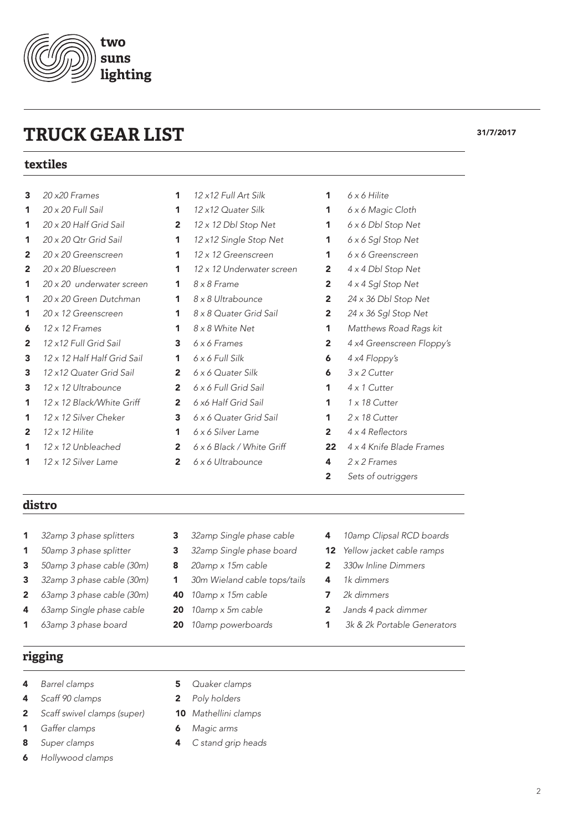# **TRUCK GEAR LIST** 31/7/2017

# **textiles**

### *20 x20 Frames* 3

- *20 x 20 Full Sail* 1
- *20 x 20 Half Grid Sail* 1
- *20 x 20 Qtr Grid Sail* 1
- *20 x 20 Greenscreen* 2
- *20 x 20 Bluescreen* 2
- *20 x 20 underwater screen* 1
- *20 x 20 Green Dutchman* 1
- *20 x 12 Greenscreen* 1
- *12 x 12 Frames* 6
- *12 x12 Full Grid Sail*  $\overline{\mathbf{c}}$
- *12 x 12 Half Half Grid Sail* 3
- *12 x12 Quater Grid Sail*  $\overline{\mathbf{z}}$
- *12 x 12 Ultrabounce* 3
- *12 x 12 Black/White Griff* 1
- *12 x 12 Silver Cheker* 1
- *12 x 12 Hilite* 2
- *12 x 12 Unbleached* 1
- *12 x 12 Silver Lame* 1
- 2 2  $\overline{\mathbf{3}}$ *6 x 6 Full Grid Sail 6 x6 Half Grid Sail 6 x 6 Quater Grid Sail*

- 1 *6 x 6 Silver Lame*
	- 2 *6 x 6 Black / White Griff*

*12 x12 Full Art Silk 12 x12 Quater Silk 12 x 12 Dbl Stop Net 12 x12 Single Stop Net 12 x 12 Greenscreen 12 x 12 Underwater screen* 

*8 x 8 Frame 8 x 8 Ultrabounce 8 x 8 Quater Grid Sail 8 x 8 White Net 6 x 6 Frames 6 x 6 Full Silk 6 x 6 Quater Silk*

 $\overline{2}$ *6 x 6 Ultrabounce*

- *6 x 6 Hilite* 1
- *6 x 6 Magic Cloth* 1
- *6 x 6 Dbl Stop Net* 1
- *6 x 6 Sgl Stop Net* 1
- *6 x 6 Greenscreen* 1
- *4 x 4 Dbl Stop Net* 2
- *4 x 4 Sgl Stop Net* 2
- *24 x 36 Dbl Stop Net* 2
- *24 x 36 Sgl Stop Net* 2
- *Matthews Road Rags kit* 1
- *4 x4 Greenscreen Floppy's* 2
- *4 x4 Floppy's* 6
- *3 x 2 Cutter* 6
- *4 x 1 Cutter* 1
- *1 x 18 Cutter* 1
- *2 x 18 Cutter* 1
- 4 x 4 Reflectors 2
- *4 x 4 Knife Blade Frames* 22
- *2 x 2 Frames* 4
- *Sets of outriggers* 2

**distro**

### *32amp 3 phase splitters* 1

- *50amp 3 phase splitter* 1
- *50amp 3 phase cable (30m)* 3
- *32amp 3 phase cable (30m)* 3
- *63amp 3 phase cable (30m)* 2
- *63amp Single phase cable* 4
- *63amp 3 phase board* 1
- **rigging**
- *Barrel clamps* 4
- *Scaff 90 clamps* 4
- *Scaff swivel clamps (super)* 2
- *Gaffer clamps* 1
- *Super clamps* 8
- *Hollywood clamps* 6
- *32amp Single phase cable* 3
- *32amp Single phase board* 3
- *20amp x 15m cable* 8
- *30m Wieland cable tops/tails* 1
- *10amp x 15m cable* 40
- *10amp x 5m cable* 20
- *10amp powerboards* 20
- *10amp Clipsal RCD boards* 4
- *Yellow jacket cable ramps* 12
- *330w Inline Dimmers* 2
- *1k dimmers* 4
- *2k dimmers* 7
- *Jands 4 pack dimmer* 2
- *3k & 2k Portable Generators* 1

- *Quaker clamps* 5
- *Poly holders* 2
- *Mathellini clamps* 10
- *Magic arms* 6
- *C stand grip heads* 4